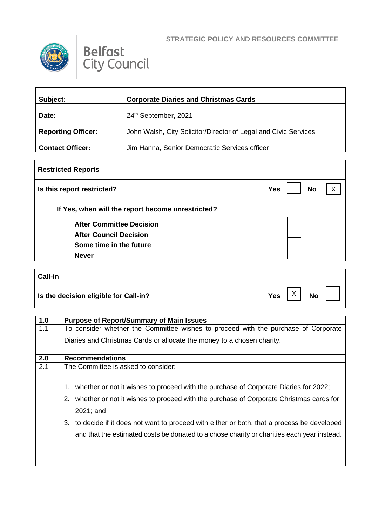

 $\Gamma$ 



| Subject:                  | <b>Corporate Diaries and Christmas Cards</b>                    |
|---------------------------|-----------------------------------------------------------------|
| Date:                     | 24th September, 2021                                            |
| <b>Reporting Officer:</b> | John Walsh, City Solicitor/Director of Legal and Civic Services |
| <b>Contact Officer:</b>   | Jim Hanna, Senior Democratic Services officer                   |

| <b>Restricted Reports</b>                         |                         |   |
|---------------------------------------------------|-------------------------|---|
| Is this report restricted?                        | <b>No</b><br><b>Yes</b> | X |
| If Yes, when will the report become unrestricted? |                         |   |
| <b>After Committee Decision</b>                   |                         |   |
| <b>After Council Decision</b>                     |                         |   |
| Some time in the future                           |                         |   |
| <b>Never</b>                                      |                         |   |

| <b>Call-in</b>                        |            |                           |           |  |
|---------------------------------------|------------|---------------------------|-----------|--|
| Is the decision eligible for Call-in? | <b>Yes</b> | $\checkmark$<br>$\lambda$ | <b>No</b> |  |

| 1.0 | <b>Purpose of Report/Summary of Main Issues</b>                                                                                                                                                                                                                                                                                                                                                       |
|-----|-------------------------------------------------------------------------------------------------------------------------------------------------------------------------------------------------------------------------------------------------------------------------------------------------------------------------------------------------------------------------------------------------------|
| 1.1 | To consider whether the Committee wishes to proceed with the purchase of Corporate                                                                                                                                                                                                                                                                                                                    |
|     | Diaries and Christmas Cards or allocate the money to a chosen charity.                                                                                                                                                                                                                                                                                                                                |
| 2.0 | <b>Recommendations</b>                                                                                                                                                                                                                                                                                                                                                                                |
| 2.1 | The Committee is asked to consider:                                                                                                                                                                                                                                                                                                                                                                   |
|     | whether or not it wishes to proceed with the purchase of Corporate Diaries for 2022;<br>1.<br>2. whether or not it wishes to proceed with the purchase of Corporate Christmas cards for<br>2021; and<br>to decide if it does not want to proceed with either or both, that a process be developed<br>3.<br>and that the estimated costs be donated to a chose charity or charities each year instead. |